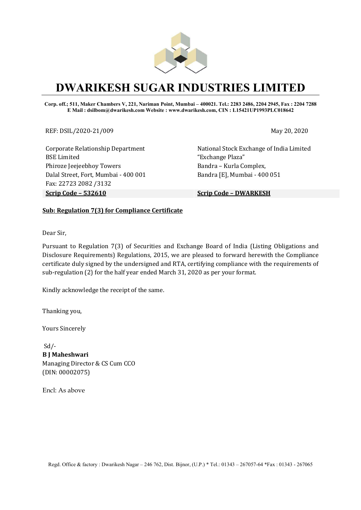

# DWARIKESH SUGAR INDUSTRIES LIMITED

Corp. off.; 511, Maker Chambers V, 221, Nariman Point, Mumbai – 400021. Tel.: 2283 2486, 2204 2945, Fax : 2204 7288 E Mail : dsilbom@dwarikesh.com Website : www.dwarikesh.com, CIN : L15421UP1993PLC018642

REF: DSIL/2020-21/009 May 20, 2020

Corporate Relationship Department BSE Limited Phiroze Jeejeebhoy Towers Dalal Street, Fort, Mumbai - 400 001 Fax: 22723 2082 /3132 Scrip Code – 532610 Scrip Code – DWARKESH

National Stock Exchange of India Limited "Exchange Plaza" Bandra – Kurla Complex, Bandra [E], Mumbai - 400 051

### Sub: Regulation 7(3) for Compliance Certificate

Dear Sir,

Pursuant to Regulation 7(3) of Securities and Exchange Board of India (Listing Obligations and Disclosure Requirements) Regulations, 2015, we are pleased to forward herewith the Compliance certificate duly signed by the undersigned and RTA, certifying compliance with the requirements of sub-regulation (2) for the half year ended March 31, 2020 as per your format.

Kindly acknowledge the receipt of the same.

Thanking you,

Yours Sincerely

 $Sd$  /-B J Maheshwari Managing Director & CS Cum CCO (DIN: 00002075)

Encl: As above